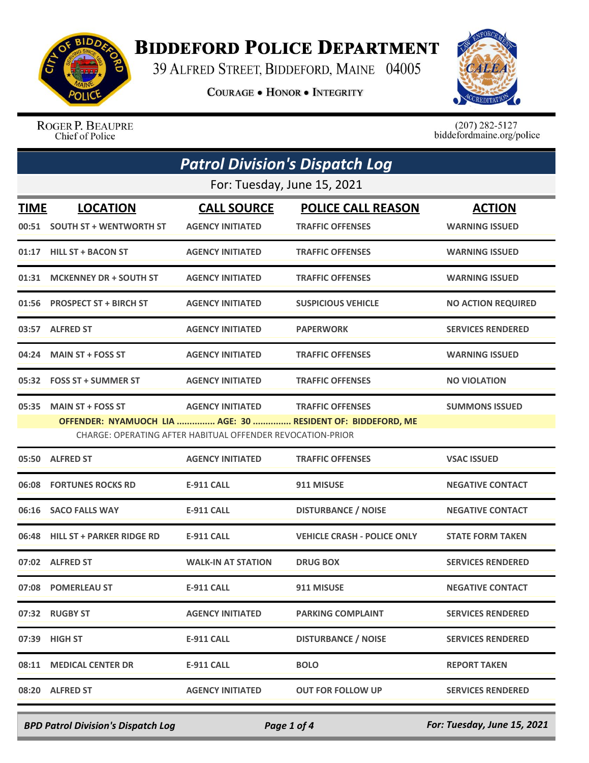

## **BIDDEFORD POLICE DEPARTMENT**

39 ALFRED STREET, BIDDEFORD, MAINE 04005

**COURAGE . HONOR . INTEGRITY** 



ROGER P. BEAUPRE Chief of Police

 $(207)$  282-5127<br>biddefordmaine.org/police

| <b>Patrol Division's Dispatch Log</b> |                                                  |                                                                                       |                                                                                        |                                        |  |  |
|---------------------------------------|--------------------------------------------------|---------------------------------------------------------------------------------------|----------------------------------------------------------------------------------------|----------------------------------------|--|--|
|                                       | For: Tuesday, June 15, 2021                      |                                                                                       |                                                                                        |                                        |  |  |
| <b>TIME</b>                           | <b>LOCATION</b><br>00:51 SOUTH ST + WENTWORTH ST | <b>CALL SOURCE</b><br><b>AGENCY INITIATED</b>                                         | <b>POLICE CALL REASON</b><br><b>TRAFFIC OFFENSES</b>                                   | <b>ACTION</b><br><b>WARNING ISSUED</b> |  |  |
| 01:17                                 | <b>HILL ST + BACON ST</b>                        | <b>AGENCY INITIATED</b>                                                               | <b>TRAFFIC OFFENSES</b>                                                                | <b>WARNING ISSUED</b>                  |  |  |
| 01:31                                 | <b>MCKENNEY DR + SOUTH ST</b>                    | <b>AGENCY INITIATED</b>                                                               | <b>TRAFFIC OFFENSES</b>                                                                | <b>WARNING ISSUED</b>                  |  |  |
| 01:56                                 | <b>PROSPECT ST + BIRCH ST</b>                    | <b>AGENCY INITIATED</b>                                                               | <b>SUSPICIOUS VEHICLE</b>                                                              | <b>NO ACTION REQUIRED</b>              |  |  |
|                                       | 03:57 ALFRED ST                                  | <b>AGENCY INITIATED</b>                                                               | <b>PAPERWORK</b>                                                                       | <b>SERVICES RENDERED</b>               |  |  |
| 04:24                                 | <b>MAIN ST + FOSS ST</b>                         | <b>AGENCY INITIATED</b>                                                               | <b>TRAFFIC OFFENSES</b>                                                                | <b>WARNING ISSUED</b>                  |  |  |
|                                       | 05:32 FOSS ST + SUMMER ST                        | <b>AGENCY INITIATED</b>                                                               | <b>TRAFFIC OFFENSES</b>                                                                | <b>NO VIOLATION</b>                    |  |  |
| 05:35                                 | <b>MAIN ST + FOSS ST</b>                         | <b>AGENCY INITIATED</b><br>CHARGE: OPERATING AFTER HABITUAL OFFENDER REVOCATION-PRIOR | <b>TRAFFIC OFFENSES</b><br>OFFENDER: NYAMUOCH LIA  AGE: 30  RESIDENT OF: BIDDEFORD, ME | <b>SUMMONS ISSUED</b>                  |  |  |
|                                       | 05:50 ALFRED ST                                  | <b>AGENCY INITIATED</b>                                                               | <b>TRAFFIC OFFENSES</b>                                                                | <b>VSAC ISSUED</b>                     |  |  |
| 06:08                                 | <b>FORTUNES ROCKS RD</b>                         | E-911 CALL                                                                            | 911 MISUSE                                                                             | <b>NEGATIVE CONTACT</b>                |  |  |
| 06:16                                 | <b>SACO FALLS WAY</b>                            | E-911 CALL                                                                            | <b>DISTURBANCE / NOISE</b>                                                             | <b>NEGATIVE CONTACT</b>                |  |  |
| 06:48                                 | <b>HILL ST + PARKER RIDGE RD</b>                 | E-911 CALL                                                                            | <b>VEHICLE CRASH - POLICE ONLY</b>                                                     | <b>STATE FORM TAKEN</b>                |  |  |
|                                       | 07:02 ALFRED ST                                  | <b>WALK-IN AT STATION</b>                                                             | <b>DRUG BOX</b>                                                                        | <b>SERVICES RENDERED</b>               |  |  |
|                                       | 07:08 POMERLEAU ST                               | <b>E-911 CALL</b>                                                                     | 911 MISUSE                                                                             | <b>NEGATIVE CONTACT</b>                |  |  |
|                                       | 07:32 RUGBY ST                                   | <b>AGENCY INITIATED</b>                                                               | <b>PARKING COMPLAINT</b>                                                               | <b>SERVICES RENDERED</b>               |  |  |
| 07:39                                 | <b>HIGH ST</b>                                   | <b>E-911 CALL</b>                                                                     | <b>DISTURBANCE / NOISE</b>                                                             | <b>SERVICES RENDERED</b>               |  |  |
| 08:11                                 | <b>MEDICAL CENTER DR</b>                         | <b>E-911 CALL</b>                                                                     | <b>BOLO</b>                                                                            | <b>REPORT TAKEN</b>                    |  |  |
|                                       | 08:20 ALFRED ST                                  | <b>AGENCY INITIATED</b>                                                               | <b>OUT FOR FOLLOW UP</b>                                                               | <b>SERVICES RENDERED</b>               |  |  |

*BPD Patrol Division's Dispatch Log Page 1 of 4 For: Tuesday, June 15, 2021*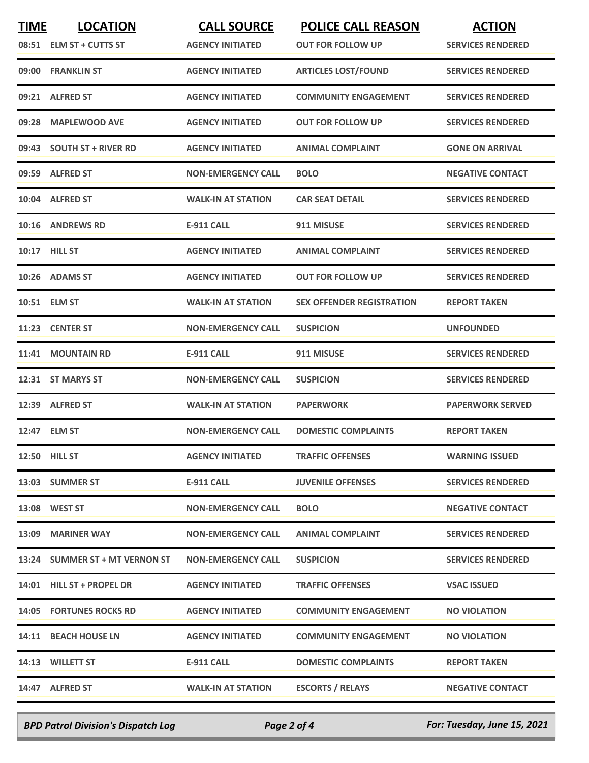| <b>TIME</b> | <b>LOCATION</b>                | <b>CALL SOURCE</b>        | <b>POLICE CALL REASON</b>        | <b>ACTION</b>            |
|-------------|--------------------------------|---------------------------|----------------------------------|--------------------------|
|             | 08:51 ELM ST + CUTTS ST        | <b>AGENCY INITIATED</b>   | <b>OUT FOR FOLLOW UP</b>         | <b>SERVICES RENDERED</b> |
| 09:00       | <b>FRANKLIN ST</b>             | <b>AGENCY INITIATED</b>   | <b>ARTICLES LOST/FOUND</b>       | <b>SERVICES RENDERED</b> |
| 09:21       | <b>ALFRED ST</b>               | <b>AGENCY INITIATED</b>   | <b>COMMUNITY ENGAGEMENT</b>      | <b>SERVICES RENDERED</b> |
| 09:28       | <b>MAPLEWOOD AVE</b>           | <b>AGENCY INITIATED</b>   | <b>OUT FOR FOLLOW UP</b>         | <b>SERVICES RENDERED</b> |
|             | 09:43 SOUTH ST + RIVER RD      | <b>AGENCY INITIATED</b>   | <b>ANIMAL COMPLAINT</b>          | <b>GONE ON ARRIVAL</b>   |
|             | 09:59 ALFRED ST                | <b>NON-EMERGENCY CALL</b> | <b>BOLO</b>                      | <b>NEGATIVE CONTACT</b>  |
|             | 10:04 ALFRED ST                | <b>WALK-IN AT STATION</b> | <b>CAR SEAT DETAIL</b>           | <b>SERVICES RENDERED</b> |
|             | 10:16 ANDREWS RD               | <b>E-911 CALL</b>         | 911 MISUSE                       | <b>SERVICES RENDERED</b> |
|             | 10:17 HILL ST                  | <b>AGENCY INITIATED</b>   | <b>ANIMAL COMPLAINT</b>          | <b>SERVICES RENDERED</b> |
|             | 10:26 ADAMS ST                 | <b>AGENCY INITIATED</b>   | <b>OUT FOR FOLLOW UP</b>         | <b>SERVICES RENDERED</b> |
|             | 10:51 ELM ST                   | <b>WALK-IN AT STATION</b> | <b>SEX OFFENDER REGISTRATION</b> | <b>REPORT TAKEN</b>      |
|             | 11:23 CENTER ST                | <b>NON-EMERGENCY CALL</b> | <b>SUSPICION</b>                 | <b>UNFOUNDED</b>         |
| 11:41       | <b>MOUNTAIN RD</b>             | <b>E-911 CALL</b>         | 911 MISUSE                       | <b>SERVICES RENDERED</b> |
| 12:31       | <b>ST MARYS ST</b>             | <b>NON-EMERGENCY CALL</b> | <b>SUSPICION</b>                 | <b>SERVICES RENDERED</b> |
| 12:39       | <b>ALFRED ST</b>               | <b>WALK-IN AT STATION</b> | <b>PAPERWORK</b>                 | <b>PAPERWORK SERVED</b>  |
| 12:47       | <b>ELM ST</b>                  | <b>NON-EMERGENCY CALL</b> | <b>DOMESTIC COMPLAINTS</b>       | <b>REPORT TAKEN</b>      |
|             | <b>12:50 HILL ST</b>           | <b>AGENCY INITIATED</b>   | <b>TRAFFIC OFFENSES</b>          | <b>WARNING ISSUED</b>    |
|             | 13:03 SUMMER ST                | E-911 CALL                | <b>JUVENILE OFFENSES</b>         | <b>SERVICES RENDERED</b> |
|             | 13:08 WEST ST                  | <b>NON-EMERGENCY CALL</b> | <b>BOLO</b>                      | <b>NEGATIVE CONTACT</b>  |
|             | 13:09 MARINER WAY              | <b>NON-EMERGENCY CALL</b> | <b>ANIMAL COMPLAINT</b>          | <b>SERVICES RENDERED</b> |
|             | 13:24 SUMMER ST + MT VERNON ST | <b>NON-EMERGENCY CALL</b> | <b>SUSPICION</b>                 | <b>SERVICES RENDERED</b> |
|             | 14:01 HILL ST + PROPEL DR      | <b>AGENCY INITIATED</b>   | <b>TRAFFIC OFFENSES</b>          | <b>VSAC ISSUED</b>       |
|             | <b>14:05 FORTUNES ROCKS RD</b> | <b>AGENCY INITIATED</b>   | <b>COMMUNITY ENGAGEMENT</b>      | <b>NO VIOLATION</b>      |
|             | 14:11 BEACH HOUSE LN           | <b>AGENCY INITIATED</b>   | <b>COMMUNITY ENGAGEMENT</b>      | <b>NO VIOLATION</b>      |
|             | 14:13 WILLETT ST               | E-911 CALL                | <b>DOMESTIC COMPLAINTS</b>       | <b>REPORT TAKEN</b>      |
|             | 14:47 ALFRED ST                | <b>WALK-IN AT STATION</b> | <b>ESCORTS / RELAYS</b>          | <b>NEGATIVE CONTACT</b>  |
|             |                                |                           |                                  |                          |

*BPD Patrol Division's Dispatch Log Page 2 of 4 For: Tuesday, June 15, 2021*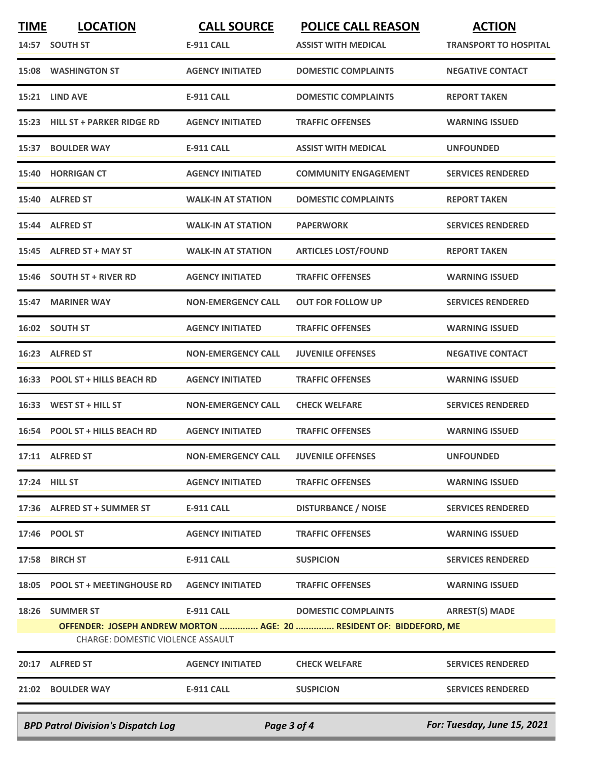| <b>TIME</b>                                                                             | <b>LOCATION</b>                   | <b>CALL SOURCE</b>        | <b>POLICE CALL REASON</b>                                           | <b>ACTION</b>                |
|-----------------------------------------------------------------------------------------|-----------------------------------|---------------------------|---------------------------------------------------------------------|------------------------------|
|                                                                                         | 14:57 SOUTH ST                    | <b>E-911 CALL</b>         | <b>ASSIST WITH MEDICAL</b>                                          | <b>TRANSPORT TO HOSPITAL</b> |
| 15:08                                                                                   | <b>WASHINGTON ST</b>              | <b>AGENCY INITIATED</b>   | <b>DOMESTIC COMPLAINTS</b>                                          | <b>NEGATIVE CONTACT</b>      |
| 15:21                                                                                   | <b>LIND AVE</b>                   | <b>E-911 CALL</b>         | <b>DOMESTIC COMPLAINTS</b>                                          | <b>REPORT TAKEN</b>          |
| 15:23                                                                                   | <b>HILL ST + PARKER RIDGE RD</b>  | <b>AGENCY INITIATED</b>   | <b>TRAFFIC OFFENSES</b>                                             | <b>WARNING ISSUED</b>        |
| 15:37                                                                                   | <b>BOULDER WAY</b>                | <b>E-911 CALL</b>         | <b>ASSIST WITH MEDICAL</b>                                          | <b>UNFOUNDED</b>             |
| 15:40                                                                                   | <b>HORRIGAN CT</b>                | <b>AGENCY INITIATED</b>   | <b>COMMUNITY ENGAGEMENT</b>                                         | <b>SERVICES RENDERED</b>     |
|                                                                                         | 15:40 ALFRED ST                   | <b>WALK-IN AT STATION</b> | <b>DOMESTIC COMPLAINTS</b>                                          | <b>REPORT TAKEN</b>          |
| 15:44                                                                                   | <b>ALFRED ST</b>                  | <b>WALK-IN AT STATION</b> | <b>PAPERWORK</b>                                                    | <b>SERVICES RENDERED</b>     |
| 15:45                                                                                   | <b>ALFRED ST + MAY ST</b>         | <b>WALK-IN AT STATION</b> | <b>ARTICLES LOST/FOUND</b>                                          | <b>REPORT TAKEN</b>          |
|                                                                                         | 15:46 SOUTH ST + RIVER RD         | <b>AGENCY INITIATED</b>   | <b>TRAFFIC OFFENSES</b>                                             | <b>WARNING ISSUED</b>        |
| 15:47                                                                                   | <b>MARINER WAY</b>                | <b>NON-EMERGENCY CALL</b> | <b>OUT FOR FOLLOW UP</b>                                            | <b>SERVICES RENDERED</b>     |
| 16:02                                                                                   | <b>SOUTH ST</b>                   | <b>AGENCY INITIATED</b>   | <b>TRAFFIC OFFENSES</b>                                             | <b>WARNING ISSUED</b>        |
| 16:23                                                                                   | <b>ALFRED ST</b>                  | <b>NON-EMERGENCY CALL</b> | <b>JUVENILE OFFENSES</b>                                            | <b>NEGATIVE CONTACT</b>      |
| 16:33                                                                                   | <b>POOL ST + HILLS BEACH RD</b>   | <b>AGENCY INITIATED</b>   | <b>TRAFFIC OFFENSES</b>                                             | <b>WARNING ISSUED</b>        |
| 16:33                                                                                   | WEST ST + HILL ST                 | <b>NON-EMERGENCY CALL</b> | <b>CHECK WELFARE</b>                                                | <b>SERVICES RENDERED</b>     |
| 16:54                                                                                   | <b>POOL ST + HILLS BEACH RD</b>   | <b>AGENCY INITIATED</b>   | <b>TRAFFIC OFFENSES</b>                                             | <b>WARNING ISSUED</b>        |
|                                                                                         | 17:11 ALFRED ST                   | <b>NON-EMERGENCY CALL</b> | <b>JUVENILE OFFENSES</b>                                            | <b>UNFOUNDED</b>             |
|                                                                                         | 17:24 HILL ST                     | <b>AGENCY INITIATED</b>   | <b>TRAFFIC OFFENSES</b>                                             | <b>WARNING ISSUED</b>        |
|                                                                                         | 17:36 ALFRED ST + SUMMER ST       | <b>E-911 CALL</b>         | <b>DISTURBANCE / NOISE</b>                                          | <b>SERVICES RENDERED</b>     |
|                                                                                         | 17:46 POOL ST                     | <b>AGENCY INITIATED</b>   | <b>TRAFFIC OFFENSES</b>                                             | <b>WARNING ISSUED</b>        |
|                                                                                         | 17:58 BIRCH ST                    | <b>E-911 CALL</b>         | <b>SUSPICION</b>                                                    | <b>SERVICES RENDERED</b>     |
|                                                                                         | 18:05 POOL ST + MEETINGHOUSE RD   | <b>AGENCY INITIATED</b>   | <b>TRAFFIC OFFENSES</b>                                             | <b>WARNING ISSUED</b>        |
|                                                                                         | 18:26 SUMMER ST                   | E-911 CALL                | <b>DOMESTIC COMPLAINTS</b>                                          | <b>ARREST(S) MADE</b>        |
|                                                                                         | CHARGE: DOMESTIC VIOLENCE ASSAULT |                           | OFFENDER: JOSEPH ANDREW MORTON  AGE: 20  RESIDENT OF: BIDDEFORD, ME |                              |
|                                                                                         | 20:17 ALFRED ST                   | <b>AGENCY INITIATED</b>   | <b>CHECK WELFARE</b>                                                | <b>SERVICES RENDERED</b>     |
|                                                                                         | 21:02 BOULDER WAY                 | E-911 CALL                | <b>SUSPICION</b>                                                    | <b>SERVICES RENDERED</b>     |
| For: Tuesday, June 15, 2021<br><b>BPD Patrol Division's Dispatch Log</b><br>Page 3 of 4 |                                   |                           |                                                                     |                              |
|                                                                                         |                                   |                           |                                                                     |                              |